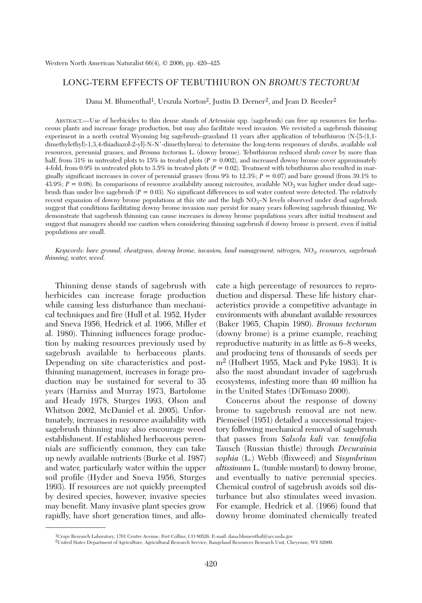# LONG-TERM EFFECTS OF TEBUTHIURON ON *BROMUS TECTORUM*

Dana M. Blumenthal<sup>1</sup>, Urszula Norton<sup>2</sup>, Justin D. Derner<sup>2</sup>, and Jean D. Reeder<sup>2</sup>

ABSTRACT.—Use of herbicides to thin dense stands of *Artemisia* spp. (sagebrush) can free up resources for herbaceous plants and increase forage production, but may also facilitate weed invasion. We revisited a sagebrush thinning experiment in a north central Wyoming big sagebrush–grassland 11 years after application of tebuthiuron (N-[5-(1,1 dimethylethyl)-1,3,4-thiadiazol-2-yl]-N-N'-dimethylurea) to determine the long-term responses of shrubs, available soil resources, perennial grasses, and *Bromus tectorum* L. (downy brome). Tebuthiuron reduced shrub cover by more than half, from 31% in untreated plots to 15% in treated plots ( $P = 0.002$ ), and increased downy brome cover approximately 4-fold, from 0.9% in untreated plots to 3.5% in treated plots  $(P = 0.02)$ . Treatment with tebuthiuron also resulted in marginally significant increases in cover of perennial grasses (from 9% to 12.3%; *P* = 0.07) and bare ground (from 39.1% to 43.9%;  $P = 0.08$ ). In comparisons of resource availability among microsites, available  $NO_3$  was higher under dead sagebrush than under live sagebrush  $(P = 0.03)$ . No significant differences in soil water content were detected. The relatively recent expansion of downy brome populations at this site and the high NO<sub>3</sub>–N levels observed under dead sagebrush suggest that conditions facilitating downy brome invasion may persist for many years following sagebrush thinning. We demonstrate that sagebrush thinning can cause increases in downy brome populations years after initial treatment and suggest that managers should use caution when considering thinning sagebrush if downy brome is present, even if initial populations are small.

*Keywords: bare ground, cheatgrass, downy brome, invasion, land management, nitrogen, NO3*, *resources, sagebrush thinning, water, weed.*

Thinning dense stands of sagebrush with herbicides can increase forage production while causing less disturbance than mechanical techniques and fire (Hull et al. 1952, Hyder and Sneva 1956, Hedrick et al. 1966, Miller et al. 1980). Thinning influences forage production by making resources previously used by sagebrush available to herbaceous plants. Depending on site characteristics and postthinning management, increases in forage production may be sustained for several to 35 years (Harniss and Murray 1973, Bartolome and Heady 1978, Sturges 1993, Olson and Whitson 2002, McDaniel et al. 2005). Unfortunately, increases in resource availability with sagebrush thinning may also encourage weed establishment. If established herbaceous perennials are sufficiently common, they can take up newly available nutrients (Burke et al. 1987) and water, particularly water within the upper soil profile (Hyder and Sneva 1956, Sturges 1993). If resources are not quickly preempted by desired species, however, invasive species may benefit. Many invasive plant species grow rapidly, have short generation times, and allo-

cate a high percentage of resources to reproduction and dispersal. These life history characteristics provide a competitive advantage in environments with abundant available resources (Baker 1965, Chapin 1980). *Bromus tectorum* (downy brome) is a prime example, reaching reproductive maturity in as little as 6–8 weeks, and producing tens of thousands of seeds per m2 (Hulbert 1955, Mack and Pyke 1983). It is also the most abundant invader of sagebrush ecosystems, infesting more than 40 million ha in the United States (DiTomaso 2000).

Concerns about the response of downy brome to sagebrush removal are not new. Piemeisel (1951) detailed a successional trajectory following mechanical removal of sagebrush that passes from *Salsola kali* var. *tenuifolia* Tausch (Russian thistle) through *Decurainia sophia* (L.) Webb (flixweed) and *Sisymbrium altissimum* L. (tumble mustard) to downy brome, and eventually to native perennial species. Chemical control of sagebrush avoids soil disturbance but also stimulates weed invasion. For example, Hedrick et al. (1966) found that downy brome dominated chemically treated

<sup>1</sup>Crops Research Laboratory, 1701 Centre Avenue, Fort Collins, CO 80526. E-mail: dana.blumenthal@ars.usda.gov

<sup>2</sup>United States Department of Agriculture, Agricultural Research Service, Rangeland Resources Research Unit, Cheyenne, WY 82009.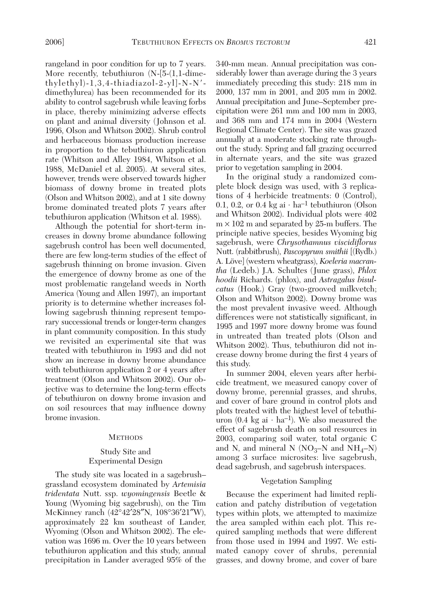rangeland in poor condition for up to 7 years. More recently, tebuthiuron (N-[5-(1,1-dimethylethyl)-1,3,4-thiadiazol-2-yl]-N-N dimethylurea) has been recommended for its ability to control sagebrush while leaving forbs in place, thereby minimizing adverse effects on plant and animal diversity (Johnson et al. 1996, Olson and Whitson 2002). Shrub control and herbaceous biomass production increase in proportion to the tebuthiuron application rate (Whitson and Alley 1984, Whitson et al. 1988, McDaniel et al. 2005). At several sites, however, trends were observed towards higher biomass of downy brome in treated plots (Olson and Whitson 2002), and at 1 site downy brome dominated treated plots 7 years after tebuthiuron application (Whitson et al. 1988).

Although the potential for short-term increases in downy brome abundance following sagebrush control has been well documented, there are few long-term studies of the effect of sagebrush thinning on brome invasion. Given the emergence of downy brome as one of the most problematic rangeland weeds in North America (Young and Allen 1997), an important priority is to determine whether increases following sagebrush thinning represent temporary successional trends or longer-term changes in plant community composition. In this study we revisited an experimental site that was treated with tebuthiuron in 1993 and did not show an increase in downy brome abundance with tebuthiuron application 2 or 4 years after treatment (Olson and Whitson 2002). Our objective was to determine the long-term effects of tebuthiuron on downy brome invasion and on soil resources that may influence downy brome invasion.

#### **METHODS**

## Study Site and Experimental Design

The study site was located in a sagebrush– grassland ecosystem dominated by *Artemisia tridentata* Nutt. ssp. *wyomingensis* Beetle & Young (Wyoming big sagebrush), on the Tim McKinney ranch (42°42′28″N, 108°36′21″W), approximately 22 km southeast of Lander, Wyoming (Olson and Whitson 2002). The elevation was 1696 m. Over the 10 years between tebuthiuron application and this study, annual precipitation in Lander averaged 95% of the 340-mm mean. Annual precipitation was considerably lower than average during the 3 years immediately preceding this study: 218 mm in 2000, 137 mm in 2001, and 205 mm in 2002. Annual precipitation and June–September precipitation were 261 mm and 100 mm in 2003, and 368 mm and 174 mm in 2004 (Western Regional Climate Center). The site was grazed annually at a moderate stocking rate throughout the study. Spring and fall grazing occurred in alternate years, and the site was grazed prior to vegetation sampling in 2004.

In the original study a randomized complete block design was used, with 3 replications of 4 herbicide treatments: 0 (Control), 0.1, 0.2, or 0.4 kg ai  $\cdot$  ha<sup>-1</sup> tebuthiuron (Olson and Whitson 2002). Individual plots were 402  $m \times 102$  m and separated by 25-m buffers. The principle native species, besides Wyoming big sagebrush, were *Chrysothamnus viscidiflorus* Nutt. (rabbitbrush), *Pascopyrum smithii* [(Rydb.) A. Löve] (western wheatgrass), *Koeleria macrantha* (Ledeb.) J.A. Schultes (June grass), *Phlox hoodii* Richards. (phlox), and *Astragalus bisulcatus* (Hook.) Gray (two-grooved milkvetch; Olson and Whitson 2002). Downy brome was the most prevalent invasive weed. Although differences were not statistically significant, in 1995 and 1997 more downy brome was found in untreated than treated plots (Olson and Whitson 2002). Thus, tebuthiuron did not increase downy brome during the first 4 years of this study.

In summer 2004, eleven years after herbicide treatment, we measured canopy cover of downy brome, perennial grasses, and shrubs, and cover of bare ground in control plots and plots treated with the highest level of tebuthiuron  $(0.4 \text{ kg} \text{ai} \cdot \text{ha}^{-1})$ . We also measured the effect of sagebrush death on soil resources in 2003, comparing soil water, total organic C and N, and mineral N ( $NO<sub>3</sub>–N$  and  $NH<sub>4</sub>–N$ ) among 3 surface microsites: live sagebrush, dead sagebrush, and sagebrush interspaces.

## Vegetation Sampling

Because the experiment had limited replication and patchy distribution of vegetation types within plots, we attempted to maximize the area sampled within each plot. This required sampling methods that were different from those used in 1994 and 1997. We estimated canopy cover of shrubs, perennial grasses, and downy brome, and cover of bare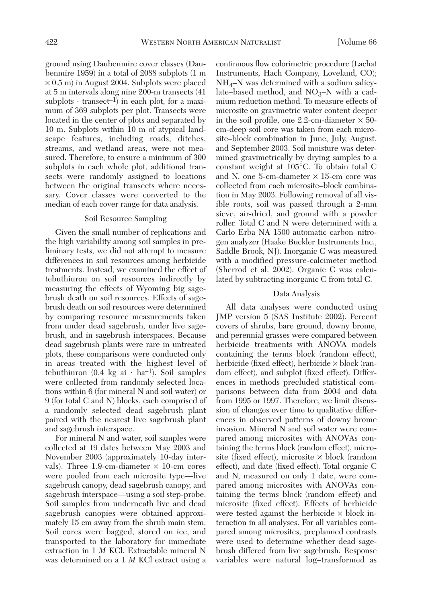ground using Daubenmire cover classes (Daubenmire 1959) in a total of 2088 subplots (1 m × 0.5 m) in August 2004. Subplots were placed at 5 m intervals along nine 200-m transects (41 subplots  $\cdot$  transect<sup>-1</sup>) in each plot, for a maximum of 369 subplots per plot. Transects were located in the center of plots and separated by 10 m. Subplots within 10 m of atypical landscape features, including roads, ditches, streams, and wetland areas, were not measured. Therefore, to ensure a minimum of 300 subplots in each whole plot, additional transects were randomly assigned to locations between the original transects where necessary. Cover classes were converted to the median of each cover range for data analysis.

#### Soil Resource Sampling

Given the small number of replications and the high variability among soil samples in preliminary tests, we did not attempt to measure differences in soil resources among herbicide treatments. Instead, we examined the effect of tebuthiuron on soil resources indirectly by measuring the effects of Wyoming big sagebrush death on soil resources. Effects of sagebrush death on soil resources were determined by comparing resource measurements taken from under dead sagebrush, under live sagebrush, and in sagebrush interspaces. Because dead sagebrush plants were rare in untreated plots, these comparisons were conducted only in areas treated with the highest level of tebuthiuron  $(0.4 \text{ kg} \text{ai} \cdot \text{ha}^{-1})$ . Soil samples were collected from randomly selected locations within 6 (for mineral N and soil water) or 9 (for total C and N) blocks, each comprised of a randomly selected dead sagebrush plant paired with the nearest live sagebrush plant and sagebrush interspace.

For mineral N and water, soil samples were collected at 19 dates between May 2003 and November 2003 (approximately 10-day intervals). Three  $1.9$ -cm-diameter  $\times$  10-cm cores were pooled from each microsite type—live sagebrush canopy, dead sagebrush canopy, and sagebrush interspace—using a soil step-probe. Soil samples from underneath live and dead sagebrush canopies were obtained approximately 15 cm away from the shrub main stem. Soil cores were bagged, stored on ice, and transported to the laboratory for immediate extraction in 1 *M* KCl. Extractable mineral N was determined on a 1 *M* KCl extract using a continuous flow colorimetric procedure (Lachat Instruments, Hach Company, Loveland, CO);  $NH_4$ –N was determined with a sodium salicylate–based method, and  $NO<sub>3</sub>–N$  with a cadmium reduction method. To measure effects of microsite on gravimetric water content deeper in the soil profile, one 2.2-cm-diameter  $\times$  50cm-deep soil core was taken from each microsite–block combination in June, July, August, and September 2003. Soil moisture was determined gravimetrically by drying samples to a constant weight at 105°C. To obtain total C and N, one 5-cm-diameter  $\times$  15-cm core was collected from each microsite–block combination in May 2003. Following removal of all visible roots, soil was passed through a 2-mm sieve, air-dried, and ground with a powder roller. Total C and N were determined with a Carlo Erba NA 1500 automatic carbon–nitrogen analyzer (Haake Buckler Instruments Inc., Saddle Brook, NJ). Inorganic C was measured with a modified pressure-calcimeter method (Sherrod et al. 2002). Organic C was calculated by subtracting inorganic C from total C.

### Data Analysis

All data analyses were conducted using JMP version 5 (SAS Institute 2002). Percent covers of shrubs, bare ground, downy brome, and perennial grasses were compared between herbicide treatments with ANOVA models containing the terms block (random effect), herbicide (fixed effect), herbicide  $\times$  block (random effect), and subplot (fixed effect). Differences in methods precluded statistical comparisons between data from 2004 and data from 1995 or 1997. Therefore, we limit discussion of changes over time to qualitative differences in observed patterns of downy brome invasion. Mineral N and soil water were compared among microsites with ANOVAs containing the terms block (random effect), microsite (fixed effect), microsite  $\times$  block (random effect), and date (fixed effect). Total organic C and N, measured on only 1 date, were compared among microsites with ANOVAs containing the terms block (random effect) and microsite (fixed effect). Effects of herbicide were tested against the herbicide  $\times$  block interaction in all analyses. For all variables compared among microsites, preplanned contrasts were used to determine whether dead sagebrush differed from live sagebrush. Response variables were natural log–transformed as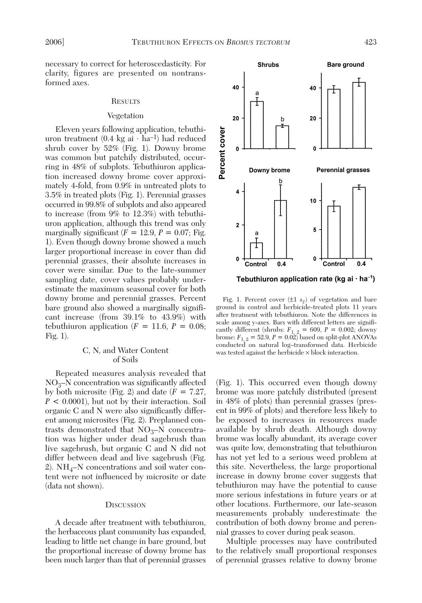necessary to correct for heteroscedasticity. For clarity, figures are presented on nontransformed axes.

### **RESULTS**

#### Vegetation

Eleven years following application, tebuthiuron treatment  $(0.4 \text{ kg ai} \cdot \text{ha}^{-1})$  had reduced shrub cover by 52% (Fig. 1). Downy brome was common but patchily distributed, occurring in 48% of subplots. Tebuthiuron application increased downy brome cover approximately 4-fold, from 0.9% in untreated plots to 3.5% in treated plots (Fig. 1). Perennial grasses occurred in 99.8% of subplots and also appeared to increase (from 9% to 12.3%) with tebuthiuron application, although this trend was only marginally significant  $(F = 12.9, P = 0.07;$  Fig. 1). Even though downy brome showed a much larger proportional increase in cover than did perennial grasses, their absolute increases in cover were similar. Due to the late-summer sampling date, cover values probably underestimate the maximum seasonal cover for both downy brome and perennial grasses. Percent bare ground also showed a marginally significant increase (from 39.1% to 43.9%) with tebuthiuron application  $(F = 11.6, P = 0.08;$ Fig. 1).

## C, N, and Water Content of Soils

Repeated measures analysis revealed that  $NO<sub>3</sub>–N$  concentration was significantly affected by both microsite (Fig. 2) and date (*F* = 7.27, *P* < 0.0001), but not by their interaction. Soil organic C and N were also significantly different among microsites (Fig. 2). Preplanned contrasts demonstrated that  $NO<sub>3</sub>–N$  concentration was higher under dead sagebrush than live sagebrush, but organic C and N did not differ between dead and live sagebrush (Fig. 2).  $NH_4-N$  concentrations and soil water content were not influenced by microsite or date (data not shown).

#### **DISCUSSION**

A decade after treatment with tebuthiuron, the herbaceous plant community has expanded, leading to little net change in bare ground, but the proportional increase of downy brome has been much larger than that of perennial grasses



Tebuthiuron application rate (kg ai  $\cdot$  ha<sup>-1</sup>)

Fig. 1. Percent cover  $(\pm 1 \ s_{\overline{x}})$  of vegetation and bare ground in control and herbicide-treated plots 11 years after treatment with tebuthiuron. Note the differences in scale among y-axes. Bars with different letters are significantly different (shrubs:  $F_{1, 2} = 609$ ,  $P = 0.002$ ; downy brome:  $F_{1, 2} = 52.9, P = 0.02$ ) based on split-plot ANOVAs conducted on natural log–transformed data. Herbicide was tested against the herbicide  $\times$  block interaction.

(Fig. 1). This occurred even though downy brome was more patchily distributed (present in 48% of plots) than perennial grasses (present in 99% of plots) and therefore less likely to be exposed to increases in resources made available by shrub death. Although downy brome was locally abundant, its average cover was quite low, demonstrating that tebuthiuron has not yet led to a serious weed problem at this site. Nevertheless, the large proportional increase in downy brome cover suggests that tebuthiuron may have the potential to cause more serious infestations in future years or at other locations. Furthermore, our late-season measurements probably underestimate the contribution of both downy brome and perennial grasses to cover during peak season.

Multiple processes may have contributed to the relatively small proportional responses of perennial grasses relative to downy brome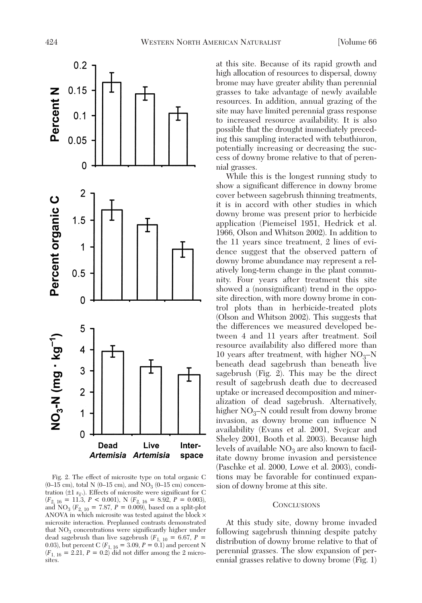

Fig. 2. The effect of microsite type on total organic C  $(0-15 \text{ cm})$ , total N  $(0-15 \text{ cm})$ , and NO<sub>3</sub>  $(0-15 \text{ cm})$  concentration ( $\pm 1$   $s_{\overline{x}}$ .). Effects of microsite were significant for C (*F*2, 16 = 11.3, *P* < 0.001), N (*F*2, 16 = 8.92, *P* = 0.003), and  $NO_3$  ( $F_{2,10} = 7.87, P = 0.009$ ), based on a split-plot ANOVA in which microsite was tested against the block × microsite interaction. Preplanned contrasts demonstrated that  $NO<sub>3</sub>$  concentrations were significantly higher under dead sagebrush than live sagebrush  $(F_{1, 10} = 6.67, P =$ 0.03), but percent C ( $F_{1, 16} = 3.09, P = 0.1$ ) and percent N  $(F_{1, 16} = 2.21, P = 0.2)$  did not differ among the 2 microsites.

at this site. Because of its rapid growth and high allocation of resources to dispersal, downy brome may have greater ability than perennial grasses to take advantage of newly available resources. In addition, annual grazing of the site may have limited perennial grass response to increased resource availability. It is also possible that the drought immediately preceding this sampling interacted with tebuthiuron, potentially increasing or decreasing the success of downy brome relative to that of perennial grasses.

While this is the longest running study to show a significant difference in downy brome cover between sagebrush thinning treatments, it is in accord with other studies in which downy brome was present prior to herbicide application (Piemeisel 1951, Hedrick et al. 1966, Olson and Whitson 2002). In addition to the 11 years since treatment, 2 lines of evidence suggest that the observed pattern of downy brome abundance may represent a relatively long-term change in the plant community. Four years after treatment this site showed a (nonsignificant) trend in the opposite direction, with more downy brome in control plots than in herbicide-treated plots (Olson and Whitson 2002). This suggests that the differences we measured developed between 4 and 11 years after treatment. Soil resource availability also differed more than 10 years after treatment, with higher  $NO<sub>3</sub>–N$ beneath dead sagebrush than beneath live sagebrush (Fig. 2). This may be the direct result of sagebrush death due to decreased uptake or increased decomposition and mineralization of dead sagebrush. Alternatively, higher  $NO_3-N$  could result from downy brome invasion, as downy brome can influence N availability (Evans et al. 2001, Svejcar and Sheley 2001, Booth et al. 2003). Because high levels of available  $NO<sub>3</sub>$  are also known to facilitate downy brome invasion and persistence (Paschke et al. 2000, Lowe et al. 2003), conditions may be favorable for continued expansion of downy brome at this site.

### **CONCLUSIONS**

At this study site, downy brome invaded following sagebrush thinning despite patchy distribution of downy brome relative to that of perennial grasses. The slow expansion of perennial grasses relative to downy brome (Fig. 1)